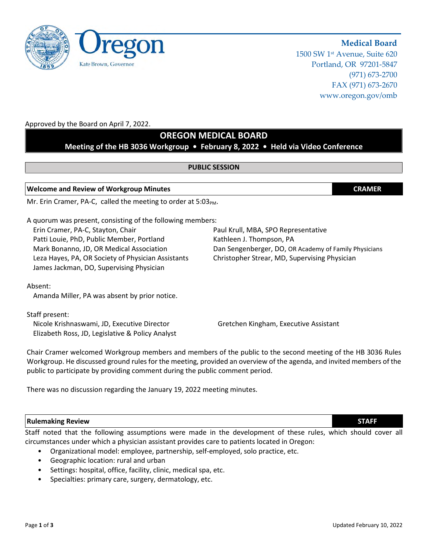1500 SW 1st Avenue, Suite 620 Portland, OR 97201-5847 (971) 673-2700 FAX (971) 673-2670 www.oregon.gov/omb

**Medical Board**

## Approved by the Board on April 7, 2022.

# **OREGON MEDICAL BOARD**

# **Meeting of the HB 3036 Workgroup • February 8, 2022 • Held via Video Conference**

## **PUBLIC SESSION**

## **Welcome and Review of Workgroup Minutes CRAMER**

Mr. Erin Cramer, PA-C, called the meeting to order at 5:03PM.

A quorum was present, consisting of the following members:

Erin Cramer, PA-C, Stayton, Chair Paul Cramer, Paul Krull, MBA, SPO Representative Patti Louie, PhD, Public Member, Portland Kathleen J. Thompson, PA Leza Hayes, PA, OR Society of Physician Assistants Christopher Strear, MD, Supervising Physician James Jackman, DO, Supervising Physician

Mark Bonanno, JD, OR Medical Association Dan Sengenberger, DO, OR Academy of Family Physicians

Absent:

Amanda Miller, PA was absent by prior notice.

Staff present:

Nicole Krishnaswami, JD, Executive Director Gretchen Kingham, Executive Assistant Elizabeth Ross, JD, Legislative & Policy Analyst

Chair Cramer welcomed Workgroup members and members of the public to the second meeting of the HB 3036 Rules Workgroup. He discussed ground rules for the meeting, provided an overview of the agenda, and invited members of the public to participate by providing comment during the public comment period.

There was no discussion regarding the January 19, 2022 meeting minutes.

## **Rulemaking Review STAFF**

Staff noted that the following assumptions were made in the development of these rules, which should cover all circumstances under which a physician assistant provides care to patients located in Oregon:

- Organizational model: employee, partnership, self-employed, solo practice, etc.
- Geographic location: rural and urban
- Settings: hospital, office, facility, clinic, medical spa, etc.
- Specialties: primary care, surgery, dermatology, etc.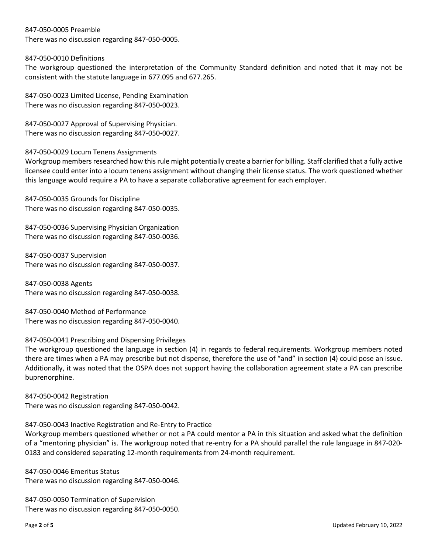#### 847-050-0005 Preamble

There was no discussion regarding 847-050-0005.

## 847-050-0010 Definitions

The workgroup questioned the interpretation of the Community Standard definition and noted that it may not be consistent with the statute language in 677.095 and 677.265.

847-050-0023 Limited License, Pending Examination There was no discussion regarding 847-050-0023.

847-050-0027 Approval of Supervising Physician. There was no discussion regarding 847-050-0027.

847-050-0029 Locum Tenens Assignments

Workgroup members researched how this rule might potentially create a barrier for billing. Staff clarified that a fully active licensee could enter into a locum tenens assignment without changing their license status. The work questioned whether this language would require a PA to have a separate collaborative agreement for each employer.

847-050-0035 Grounds for Discipline There was no discussion regarding 847-050-0035.

847-050-0036 Supervising Physician Organization There was no discussion regarding 847-050-0036.

847-050-0037 Supervision There was no discussion regarding 847-050-0037.

847-050-0038 Agents There was no discussion regarding 847-050-0038.

847-050-0040 Method of Performance There was no discussion regarding 847-050-0040.

## 847-050-0041 Prescribing and Dispensing Privileges

The workgroup questioned the language in section (4) in regards to federal requirements. Workgroup members noted there are times when a PA may prescribe but not dispense, therefore the use of "and" in section (4) could pose an issue. Additionally, it was noted that the OSPA does not support having the collaboration agreement state a PA can prescribe buprenorphine.

847-050-0042 Registration There was no discussion regarding 847-050-0042.

#### 847-050-0043 Inactive Registration and Re-Entry to Practice

Workgroup members questioned whether or not a PA could mentor a PA in this situation and asked what the definition of a "mentoring physician" is. The workgroup noted that re-entry for a PA should parallel the rule language in 847-020- 0183 and considered separating 12-month requirements from 24-month requirement.

847-050-0046 Emeritus Status There was no discussion regarding 847-050-0046.

847-050-0050 Termination of Supervision There was no discussion regarding 847-050-0050.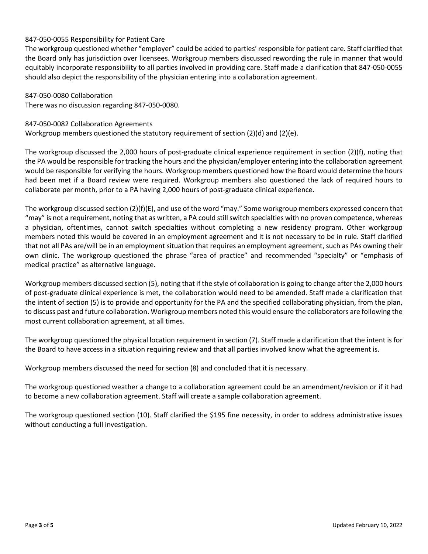## 847-050-0055 Responsibility for Patient Care

The workgroup questioned whether "employer" could be added to parties' responsible for patient care. Staff clarified that the Board only has jurisdiction over licensees. Workgroup members discussed rewording the rule in manner that would equitably incorporate responsibility to all parties involved in providing care. Staff made a clarification that 847-050-0055 should also depict the responsibility of the physician entering into a collaboration agreement.

847-050-0080 Collaboration There was no discussion regarding 847-050-0080.

#### 847-050-0082 Collaboration Agreements

Workgroup members questioned the statutory requirement of section (2)(d) and (2)(e).

The workgroup discussed the 2,000 hours of post-graduate clinical experience requirement in section (2)(f), noting that the PA would be responsible for tracking the hours and the physician/employer entering into the collaboration agreement would be responsible for verifying the hours. Workgroup members questioned how the Board would determine the hours had been met if a Board review were required. Workgroup members also questioned the lack of required hours to collaborate per month, prior to a PA having 2,000 hours of post-graduate clinical experience.

The workgroup discussed section (2)(f)(E), and use of the word "may." Some workgroup members expressed concern that "may" is not a requirement, noting that as written, a PA could still switch specialties with no proven competence, whereas a physician, oftentimes, cannot switch specialties without completing a new residency program. Other workgroup members noted this would be covered in an employment agreement and it is not necessary to be in rule. Staff clarified that not all PAs are/will be in an employment situation that requires an employment agreement, such as PAs owning their own clinic. The workgroup questioned the phrase "area of practice" and recommended "specialty" or "emphasis of medical practice" as alternative language.

Workgroup members discussed section (5), noting that if the style of collaboration is going to change after the 2,000 hours of post-graduate clinical experience is met, the collaboration would need to be amended. Staff made a clarification that the intent of section (5) is to provide and opportunity for the PA and the specified collaborating physician, from the plan, to discuss past and future collaboration. Workgroup members noted this would ensure the collaborators are following the most current collaboration agreement, at all times.

The workgroup questioned the physical location requirement in section (7). Staff made a clarification that the intent is for the Board to have access in a situation requiring review and that all parties involved know what the agreement is.

Workgroup members discussed the need for section (8) and concluded that it is necessary.

The workgroup questioned weather a change to a collaboration agreement could be an amendment/revision or if it had to become a new collaboration agreement. Staff will create a sample collaboration agreement.

The workgroup questioned section (10). Staff clarified the \$195 fine necessity, in order to address administrative issues without conducting a full investigation.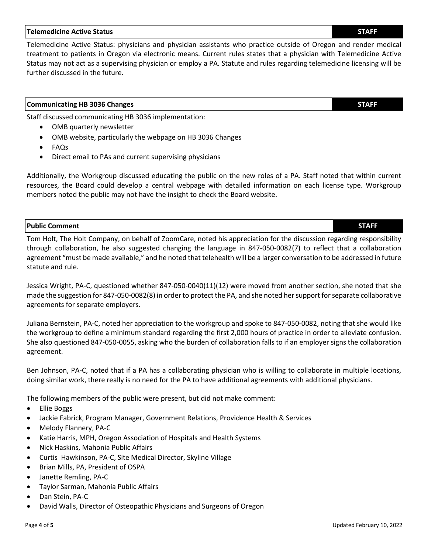# **Telemedicine Active Status STAFF**

Telemedicine Active Status: physicians and physician assistants who practice outside of Oregon and render medical treatment to patients in Oregon via electronic means. Current rules states that a physician with Telemedicine Active Status may not act as a supervising physician or employ a PA. Statute and rules regarding telemedicine licensing will be further discussed in the future.

## **Communicating HB 3036 Changes STAFF**

Staff discussed communicating HB 3036 implementation:

- OMB quarterly newsletter
- OMB website, particularly the webpage on HB 3036 Changes
- FAQs
- Direct email to PAs and current supervising physicians

Additionally, the Workgroup discussed educating the public on the new roles of a PA. Staff noted that within current resources, the Board could develop a central webpage with detailed information on each license type. Workgroup members noted the public may not have the insight to check the Board website.

## **Public Comment STAFF**

Tom Holt, The Holt Company, on behalf of ZoomCare, noted his appreciation for the discussion regarding responsibility through collaboration, he also suggested changing the language in 847-050-0082(7) to reflect that a collaboration agreement "must be made available," and he noted that telehealth will be a larger conversation to be addressed in future statute and rule.

Jessica Wright, PA-C, questioned whether 847-050-0040(11)(12) were moved from another section, she noted that she made the suggestion for 847-050-0082(8) in order to protect the PA, and she noted her support for separate collaborative agreements for separate employers.

Juliana Bernstein, PA-C, noted her appreciation to the workgroup and spoke to 847-050-0082, noting that she would like the workgroup to define a minimum standard regarding the first 2,000 hours of practice in order to alleviate confusion. She also questioned 847-050-0055, asking who the burden of collaboration falls to if an employer signs the collaboration agreement.

Ben Johnson, PA-C, noted that if a PA has a collaborating physician who is willing to collaborate in multiple locations, doing similar work, there really is no need for the PA to have additional agreements with additional physicians.

The following members of the public were present, but did not make comment:

- Ellie Boggs
- **Jackie Fabrick, Program Manager, Government Relations, Providence Health & Services**
- Melody Flannery, PA-C
- Katie Harris, MPH, Oregon Association of Hospitals and Health Systems
- Nick Haskins, Mahonia Public Affairs
- Curtis Hawkinson, PA-C, Site Medical Director, Skyline Village
- Brian Mills, PA, President of OSPA
- Janette Remling, PA-C
- Taylor Sarman, Mahonia Public Affairs
- Dan Stein, PA-C
- David Walls, Director of Osteopathic Physicians and Surgeons of Oregon